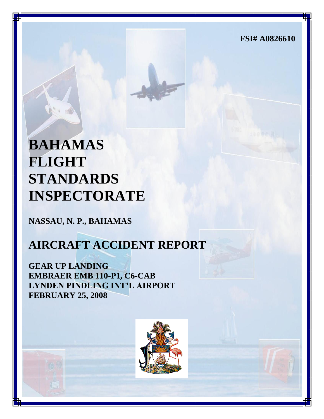**FSI# A0826610**

# **BAHAMAS FLIGHT STANDARDS INSPECTORATE**

**NASSAU, N. P., BAHAMAS**

# **AIRCRAFT ACCIDENT REPORT**

**GEAR UP LANDING EMBRAER EMB 110-P1, C6-CAB LYNDEN PINDLING INT'L AIRPORT FEBRUARY 25, 2008**

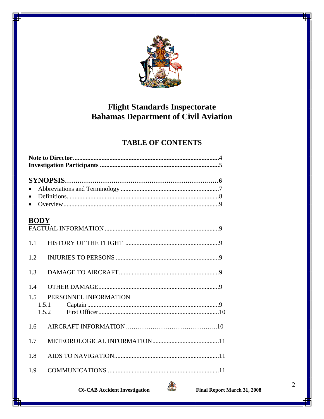

# **Flight Standards Inspectorate Bahamas Department of Civil Aviation**

# **TABLE OF CONTENTS**

| $\bullet$                           |  |  |  |
|-------------------------------------|--|--|--|
| <b>BODY</b>                         |  |  |  |
| 1.1                                 |  |  |  |
| 1.2                                 |  |  |  |
| 1.3                                 |  |  |  |
| 1.4<br>PERSONNEL INFORMATION<br>1.5 |  |  |  |
| 1.5.1<br>1.5.2                      |  |  |  |
| 1.6                                 |  |  |  |
| 1.7                                 |  |  |  |
| 1.8                                 |  |  |  |
| 1.9                                 |  |  |  |

**C6-CAB Accident Investigation** 



 $\mathbf{2}$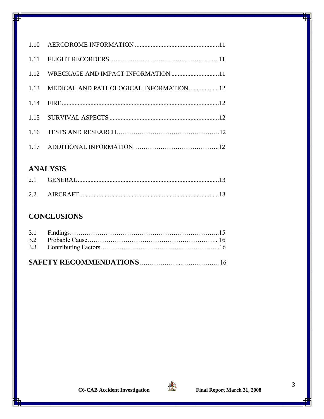| 1.12 WRECKAGE AND IMPACT INFORMATION 11     |  |
|---------------------------------------------|--|
| 1.13 MEDICAL AND PATHOLOGICAL INFORMATION12 |  |
|                                             |  |
|                                             |  |
|                                             |  |
|                                             |  |

# **ANALYSIS**

# **CONCLUSIONS**

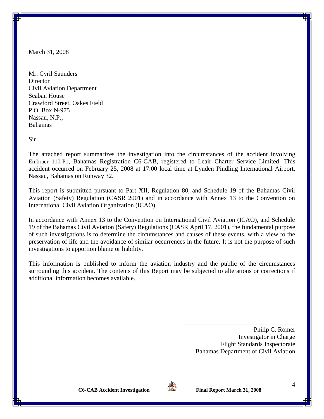March 31, 2008

Mr. Cyril Saunders **Director** Civil Aviation Department Seaban House Crawford Street, Oakes Field P.O. Box N-975 Nassau, N.P., Bahamas

Sir

The attached report summarizes the investigation into the circumstances of the accident involving Embraer 110-P1, Bahamas Registration C6-CAB, registered to Leair Charter Service Limited. This accident occurred on February 25, 2008 at 17:00 local time at Lynden Pindling International Airport, Nassau, Bahamas on Runway 32.

This report is submitted pursuant to Part XII, Regulation 80, and Schedule 19 of the Bahamas Civil Aviation (Safety) Regulation (CASR 2001) and in accordance with Annex 13 to the Convention on International Civil Aviation Organization (ICAO).

In accordance with Annex 13 to the Convention on International Civil Aviation (ICAO), and Schedule 19 of the Bahamas Civil Aviation (Safety) Regulations (CASR April 17, 2001), the fundamental purpose of such investigations is to determine the circumstances and causes of these events, with a view to the preservation of life and the avoidance of similar occurrences in the future. It is not the purpose of such investigations to apportion blame or liability.

This information is published to inform the aviation industry and the public of the circumstances surrounding this accident. The contents of this Report may be subjected to alterations or corrections if additional information becomes available.

> Philip C. Romer Investigator in Charge Flight Standards Inspectorate Bahamas Department of Civil Aviation

\_\_\_\_\_\_\_\_\_\_\_\_\_\_\_\_\_\_\_\_\_\_\_\_\_\_\_\_\_\_\_\_\_\_\_

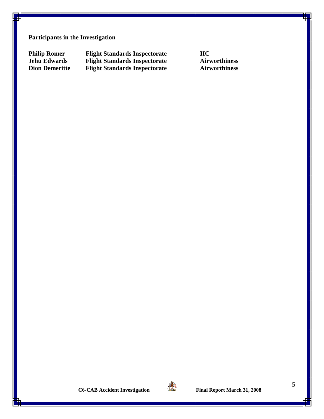**Participants in the Investigation**

**Philip Romer Flight Standards Inspectorate IIC Jehu Edwards Flight Standards Inspectorate Airworthiness Dion Demeritte Flight Standards Inspectorate Airworthiness** 

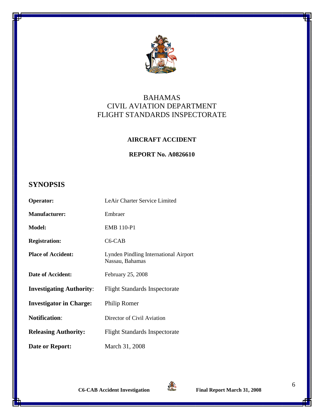

# BAHAMAS CIVIL AVIATION DEPARTMENT FLIGHT STANDARDS INSPECTORATE

## **AIRCRAFT ACCIDENT**

## **REPORT No. A0826610**

# **SYNOPSIS**

| Operator:                       | LeAir Charter Service Limited                            |
|---------------------------------|----------------------------------------------------------|
| <b>Manufacturer:</b>            | Embraer                                                  |
| <b>Model:</b>                   | <b>EMB 110-P1</b>                                        |
| <b>Registration:</b>            | C <sub>6</sub> -CAB                                      |
| <b>Place of Accident:</b>       | Lynden Pindling International Airport<br>Nassau, Bahamas |
| Date of Accident:               | February 25, 2008                                        |
| <b>Investigating Authority:</b> | <b>Flight Standards Inspectorate</b>                     |
| <b>Investigator in Charge:</b>  | Philip Romer                                             |
| <b>Notification:</b>            | Director of Civil Aviation                               |
| <b>Releasing Authority:</b>     | <b>Flight Standards Inspectorate</b>                     |
| Date or Report:                 | March 31, 2008                                           |

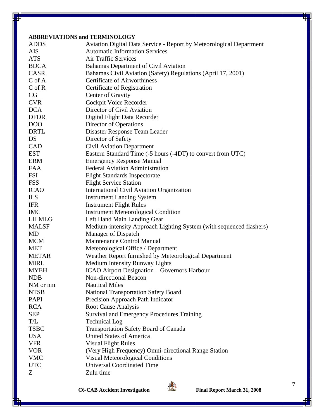#### **ABBREVIATIONS and TERMINOLOGY**

|                 | ADDINE VIATIONS and TENNINVEOU I                                    |
|-----------------|---------------------------------------------------------------------|
| <b>ADDS</b>     | Aviation Digital Data Service - Report by Meteorological Department |
| <b>AIS</b>      | <b>Automatic Information Services</b>                               |
| <b>ATS</b>      | <b>Air Traffic Services</b>                                         |
| <b>BDCA</b>     | <b>Bahamas Department of Civil Aviation</b>                         |
| <b>CASR</b>     | Bahamas Civil Aviation (Safety) Regulations (April 17, 2001)        |
| C of A          | <b>Certificate of Airworthiness</b>                                 |
| $C$ of $R$      | Certificate of Registration                                         |
| CG              | Center of Gravity                                                   |
| <b>CVR</b>      | Cockpit Voice Recorder                                              |
| <b>DCA</b>      | Director of Civil Aviation                                          |
| <b>DFDR</b>     | Digital Flight Data Recorder                                        |
| DO <sub>O</sub> | Director of Operations                                              |
| <b>DRTL</b>     | Disaster Response Team Leader                                       |
| DS              | Director of Safety                                                  |
| CAD             | <b>Civil Aviation Department</b>                                    |
| <b>EST</b>      | Eastern Standard Time (-5 hours (-4DT) to convert from UTC)         |
| <b>ERM</b>      | <b>Emergency Response Manual</b>                                    |
| <b>FAA</b>      | <b>Federal Aviation Administration</b>                              |
| <b>FSI</b>      | <b>Flight Standards Inspectorate</b>                                |
| <b>FSS</b>      | <b>Flight Service Station</b>                                       |
| <b>ICAO</b>     | <b>International Civil Aviation Organization</b>                    |
| <b>ILS</b>      | <b>Instrument Landing System</b>                                    |
| <b>IFR</b>      | <b>Instrument Flight Rules</b>                                      |
| <b>IMC</b>      | <b>Instrument Meteorological Condition</b>                          |
| LH MLG          | Left Hand Main Landing Gear                                         |
| <b>MALSF</b>    | Medium-intensity Approach Lighting System (with sequenced flashers) |
| MD              | Manager of Dispatch                                                 |
| <b>MCM</b>      | <b>Maintenance Control Manual</b>                                   |
| <b>MET</b>      | Meteorological Office / Department                                  |
| <b>METAR</b>    | Weather Report furnished by Meteorological Department               |
| <b>MIRL</b>     | Medium Intensity Runway Lights                                      |
| <b>MYEH</b>     | <b>ICAO Airport Designation – Governors Harbour</b>                 |
| <b>NDB</b>      | Non-directional Beacon                                              |
| NM or nm        | <b>Nautical Miles</b>                                               |
| <b>NTSB</b>     | <b>National Transportation Safety Board</b>                         |
| <b>PAPI</b>     | Precision Approach Path Indicator                                   |
| <b>RCA</b>      | <b>Root Cause Analysis</b>                                          |
| <b>SEP</b>      | <b>Survival and Emergency Procedures Training</b>                   |
| T/L             | <b>Technical Log</b>                                                |
| <b>TSBC</b>     | <b>Transportation Safety Board of Canada</b>                        |
| <b>USA</b>      | <b>United States of America</b>                                     |
| <b>VFR</b>      | <b>Visual Flight Rules</b>                                          |
| <b>VOR</b>      | (Very High Frequency) Omni-directional Range Station                |
| <b>VMC</b>      | <b>Visual Meteorological Conditions</b>                             |
| <b>UTC</b>      | <b>Universal Coordinated Time</b>                                   |
| Z               | Zulu time                                                           |
|                 |                                                                     |

**C6-CAB Accident Investigation Final Report March 31, 2008**



7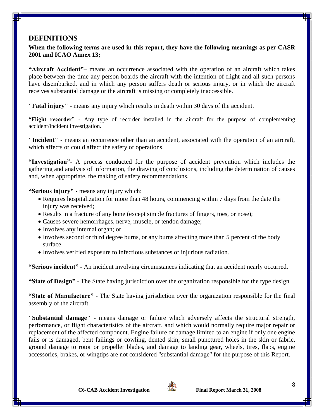# **DEFINITIONS**

**When the following terms are used in this report, they have the following meanings as per CASR 2001 and ICAO Annex 13;**

**"Aircraft Accident"–** means an occurrence associated with the operation of an aircraft which takes place between the time any person boards the aircraft with the intention of flight and all such persons have disembarked, and in which any person suffers death or serious injury, or in which the aircraft receives substantial damage or the aircraft is missing or completely inaccessible.

**"Fatal injury"** - means any injury which results in death within 30 days of the accident.

**"Flight recorder"** - Any type of recorder installed in the aircraft for the purpose of complementing accident/incident investigation.

**"Incident"** - means an occurrence other than an accident, associated with the operation of an aircraft, which affects or could affect the safety of operations.

**"Investigation"-** A process conducted for the purpose of accident prevention which includes the gathering and analysis of information, the drawing of conclusions, including the determination of causes and, when appropriate, the making of safety recommendations.

**"Serious injury"** - means any injury which:

- Requires hospitalization for more than 48 hours, commencing within 7 days from the date the injury was received;
- Results in a fracture of any bone (except simple fractures of fingers, toes, or nose);
- Causes severe hemorrhages, nerve, muscle, or tendon damage;
- Involves any internal organ; or
- Involves second or third degree burns, or any burns affecting more than 5 percent of the body surface.
- Involves verified exposure to infectious substances or injurious radiation.

**"Serious incident" -** An incident involving circumstances indicating that an accident nearly occurred.

**"State of Design"** - The State having jurisdiction over the organization responsible for the type design

**"State of Manufacture"** - The State having jurisdiction over the organization responsible for the final assembly of the aircraft.

**"Substantial damage"** - means damage or failure which adversely affects the structural strength, performance, or flight characteristics of the aircraft, and which would normally require major repair or replacement of the affected component. Engine failure or damage limited to an engine if only one engine fails or is damaged, bent failings or cowling, dented skin, small punctured holes in the skin or fabric, ground damage to rotor or propeller blades, and damage to landing gear, wheels, tires, flaps, engine accessories, brakes, or wingtips are not considered "substantial damage" for the purpose of this Report.



8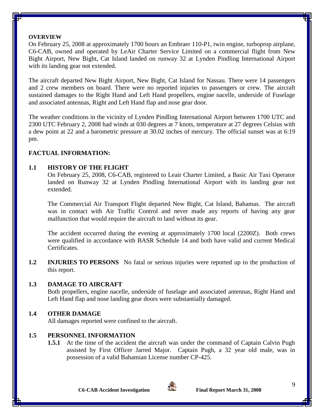#### **OVERVIEW**

On February 25, 2008 at approximately 1700 hours an Embraer 110-P1, twin engine, turboprop airplane, C6-CAB, owned and operated by LeAir Charter Service Limited on a commercial flight from New Bight Airport, New Bight, Cat Island landed on runway 32 at Lynden Pindling International Airport with its landing gear not extended.

The aircraft departed New Bight Airport, New Bight, Cat Island for Nassau. There were 14 passengers and 2 crew members on board. There were no reported injuries to passengers or crew. The aircraft sustained damages to the Right Hand and Left Hand propellers, engine nacelle, underside of Fuselage and associated antennas, Right and Left Hand flap and nose gear door.

The weather conditions in the vicinity of Lynden Pindling International Airport between 1700 UTC and 2300 UTC February 2, 2008 had winds at 030 degrees at 7 knots, temperature at 27 degrees Celsius with a dew point at 22 and a barometric pressure at 30.02 inches of mercury. The official sunset was at 6:19 pm.

# **FACTUAL INFORMATION:**

## **1.1 HISTORY OF THE FLIGHT**

On February 25, 2008, C6-CAB, registered to Leair Charter Limited, a Basic Air Taxi Operator landed on Runway 32 at Lynden Pindling International Airport with its landing gear not extended.

The Commercial Air Transport Flight departed New Bight, Cat Island, Bahamas. The aircraft was in contact with Air Traffic Control and never made any reports of having any gear malfunction that would require the aircraft to land without its gear.

The accident occurred during the evening at approximately 1700 local (2200Z). Both crews were qualified in accordance with BASR Schedule 14 and both have valid and current Medical Certificates.

**1.2 INJURIES TO PERSONS** No fatal or serious injuries were reported up to the production of this report.

#### **1.3 DAMAGE TO AIRCRAFT**

Both propellers, engine nacelle, underside of fuselage and associated antennas, Right Hand and Left Hand flap and nose landing gear doors were substantially damaged.

# **1.4 OTHER DAMAGE**

All damages reported were confined to the aircraft.

# **1.5 PERSONNEL INFORMATION**

**1.5.1** At the time of the accident the aircraft was under the command of Captain Calvin Pugh assisted by First Officer Jarred Major. Captain Pugh, a 32 year old male, was in possession of a valid Bahamian License number CP-425.

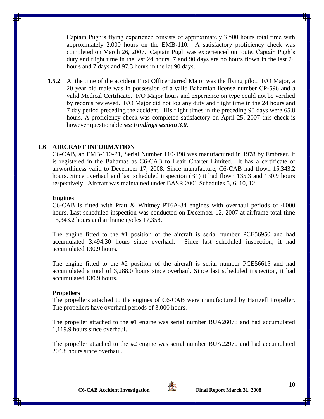Captain Pugh's flying experience consists of approximately 3,500 hours total time with approximately 2,000 hours on the EMB-110. A satisfactory proficiency check was completed on March 26, 2007. Captain Pugh was experienced on route. Captain Pugh's duty and flight time in the last 24 hours, 7 and 90 days are no hours flown in the last 24 hours and 7 days and 97.3 hours in the lat 90 days.

**1.5.2** At the time of the accident First Officer Jarred Major was the flying pilot. F/O Major, a 20 year old male was in possession of a valid Bahamian license number CP-596 and a valid Medical Certificate. F/O Major hours and experience on type could not be verified by records reviewed. F/O Major did not log any duty and flight time in the 24 hours and 7 day period preceding the accident. His flight times in the preceding 90 days were 65.8 hours. A proficiency check was completed satisfactory on April 25, 2007 this check is however questionable *see Findings section 3.0*.

#### **1.6 AIRCRAFT INFORMATION**

C6-CAB, an EMB-110-P1, Serial Number 110-198 was manufactured in 1978 by Embraer. It is registered in the Bahamas as C6-CAB to Leair Charter Limited. It has a certificate of airworthiness valid to December 17, 2008. Since manufacture, C6-CAB had flown 15,343.2 hours. Since overhaul and last scheduled inspection (B1) it had flown 135.3 and 130.9 hours respectively. Aircraft was maintained under BASR 2001 Schedules 5, 6, 10, 12.

#### **Engines**

C6-CAB is fitted with Pratt & Whitney PT6A-34 engines with overhaul periods of 4,000 hours. Last scheduled inspection was conducted on December 12, 2007 at airframe total time 15,343.2 hours and airframe cycles 17,358.

The engine fitted to the #1 position of the aircraft is serial number PCE56950 and had accumulated 3,494.30 hours since overhaul. Since last scheduled inspection, it had accumulated 130.9 hours.

The engine fitted to the #2 position of the aircraft is serial number PCE56615 and had accumulated a total of 3,288.0 hours since overhaul. Since last scheduled inspection, it had accumulated 130.9 hours.

#### **Propellers**

The propellers attached to the engines of C6-CAB were manufactured by Hartzell Propeller. The propellers have overhaul periods of 3,000 hours.

The propeller attached to the #1 engine was serial number BUA26078 and had accumulated 1,119.9 hours since overhaul.

The propeller attached to the #2 engine was serial number BUA22970 and had accumulated 204.8 hours since overhaul.

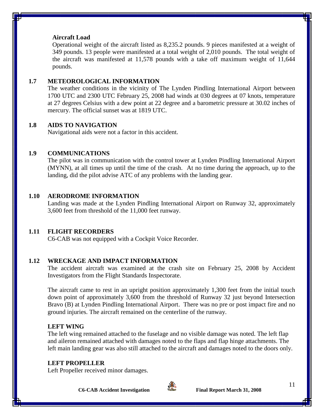#### **Aircraft Load**

Operational weight of the aircraft listed as 8,235.2 pounds. 9 pieces manifested at a weight of 349 pounds. 13 people were manifested at a total weight of 2,010 pounds. The total weight of the aircraft was manifested at 11,578 pounds with a take off maximum weight of 11,644 pounds.

#### **1.7 METEOROLOGICAL INFORMATION**

The weather conditions in the vicinity of The Lynden Pindling International Airport between 1700 UTC and 2300 UTC February 25, 2008 had winds at 030 degrees at 07 knots, temperature at 27 degrees Celsius with a dew point at 22 degree and a barometric pressure at 30.02 inches of mercury. The official sunset was at 1819 UTC.

#### **1.8 AIDS TO NAVIGATION**

Navigational aids were not a factor in this accident.

#### **1.9 COMMUNICATIONS**

The pilot was in communication with the control tower at Lynden Pindling International Airport (MYNN), at all times up until the time of the crash. At no time during the approach, up to the landing, did the pilot advise ATC of any problems with the landing gear.

#### **1.10 AERODROME INFORMATION**

Landing was made at the Lynden Pindling International Airport on Runway 32, approximately 3,600 feet from threshold of the 11,000 feet runway.

#### **1.11 FLIGHT RECORDERS**

C6-CAB was not equipped with a Cockpit Voice Recorder.

#### **1.12 WRECKAGE AND IMPACT INFORMATION**

The accident aircraft was examined at the crash site on February 25, 2008 by Accident Investigators from the Flight Standards Inspectorate.

The aircraft came to rest in an upright position approximately 1,300 feet from the initial touch down point of approximately 3,600 from the threshold of Runway 32 just beyond Intersection Bravo (B) at Lynden Pindling International Airport. There was no pre or post impact fire and no ground injuries. The aircraft remained on the centerline of the runway.

#### **LEFT WING**

The left wing remained attached to the fuselage and no visible damage was noted. The left flap and aileron remained attached with damages noted to the flaps and flap hinge attachments. The left main landing gear was also still attached to the aircraft and damages noted to the doors only.

#### **LEFT PROPELLER**

Left Propeller received minor damages.

**C6-CAB Accident Investigation Final Report March 31, 2008**



11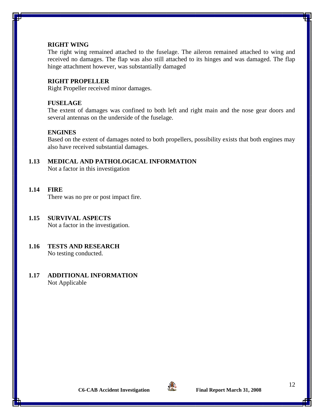#### **RIGHT WING**

The right wing remained attached to the fuselage. The aileron remained attached to wing and received no damages. The flap was also still attached to its hinges and was damaged. The flap hinge attachment however, was substantially damaged

#### **RIGHT PROPELLER**

Right Propeller received minor damages.

#### **FUSELAGE**

The extent of damages was confined to both left and right main and the nose gear doors and several antennas on the underside of the fuselage.

#### **ENGINES**

Based on the extent of damages noted to both propellers, possibility exists that both engines may also have received substantial damages.

# **1.13 MEDICAL AND PATHOLOGICAL INFORMATION**

Not a factor in this investigation

#### **1.14 FIRE**

There was no pre or post impact fire.

#### **1.15 SURVIVAL ASPECTS**

Not a factor in the investigation.

#### **1.16 TESTS AND RESEARCH** No testing conducted.

#### **1.17 ADDITIONAL INFORMATION** Not Applicable

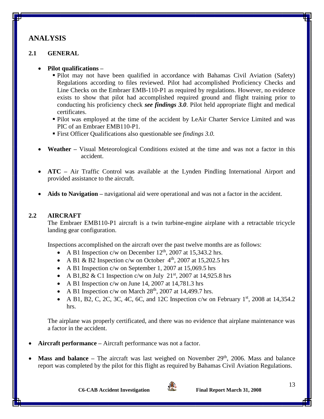# **ANALYSIS**

# **2.1 GENERAL**

# **Pilot qualifications –**

- Pilot may not have been qualified in accordance with Bahamas Civil Aviation (Safety) Regulations according to files reviewed. Pilot had accomplished Proficiency Checks and Line Checks on the Embraer EMB-110-P1 as required by regulations. However, no evidence exists to show that pilot had accomplished required ground and flight training prior to conducting his proficiency check *see findings 3.0*. Pilot held appropriate flight and medical certificates.
- Pilot was employed at the time of the accident by LeAir Charter Service Limited and was PIC of an Embraer EMB110-P1.
- First Officer Qualifications also questionable see *findings 3.0.*
- **Weather –** Visual Meteorological Conditions existed at the time and was not a factor in this accident.
- **ATC –** Air Traffic Control was available at the Lynden Pindling International Airport and provided assistance to the aircraft.
- **Aids to Navigation –** navigational aid were operational and was not a factor in the accident.

# **2.2 AIRCRAFT**

The Embraer EMB110-P1 aircraft is a twin turbine-engine airplane with a retractable tricycle landing gear configuration.

Inspections accomplished on the aircraft over the past twelve months are as follows:

- A B1 Inspection c/w on December  $12<sup>th</sup>$ , 2007 at 15,343.2 hrs.
- A B1 & B2 Inspection c/w on October  $4<sup>th</sup>$ , 2007 at 15,202.5 hrs
- A B1 Inspection c/w on September 1, 2007 at 15,069.5 hrs
- A B1, B2 & C1 Inspection c/w on July  $21<sup>st</sup>$ , 2007 at 14, 925.8 hrs
- A B1 Inspection c/w on June 14, 2007 at  $14,781.3$  hrs
- A B1 Inspection c/w on March  $28<sup>th</sup>$ , 2007 at 14,499.7 hrs.
- A B1, B2, C, 2C, 3C, 4C, 6C, and 12C Inspection c/w on February  $1<sup>st</sup>$ , 2008 at 14,354.2 hrs.

The airplane was properly certificated, and there was no evidence that airplane maintenance was a factor in the accident.

- **Aircraft performance –** Aircraft performance was not a factor.
- Mass and balance The aircraft was last weighed on November 29<sup>th</sup>, 2006. Mass and balance report was completed by the pilot for this flight as required by Bahamas Civil Aviation Regulations.

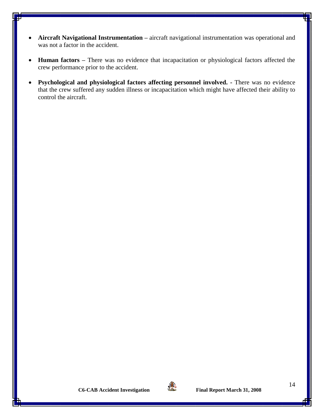- **Aircraft Navigational Instrumentation** aircraft navigational instrumentation was operational and was not a factor in the accident.
- **Human factors –** There was no evidence that incapacitation or physiological factors affected the crew performance prior to the accident.
- **Psychological and physiological factors affecting personnel involved. -** There was no evidence that the crew suffered any sudden illness or incapacitation which might have affected their ability to control the aircraft.



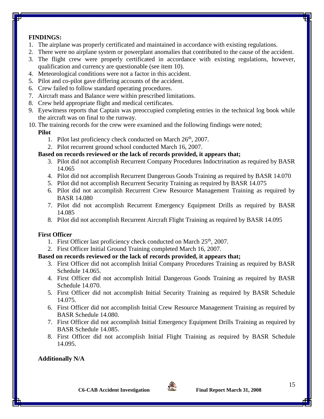# **FINDINGS:**

- 1. The airplane was properly certificated and maintained in accordance with existing regulations.
- 2. There were no airplane system or powerplant anomalies that contributed to the cause of the accident.
- 3. The flight crew were properly certificated in accordance with existing regulations, however, qualification and currency are questionable (see item 10).
- 4. Meteorological conditions were not a factor in this accident.
- 5. Pilot and co-pilot gave differing accounts of the accident.
- 6. Crew failed to follow standard operating procedures.
- 7. Aircraft mass and Balance were within prescribed limitations.
- 8. Crew held appropriate flight and medical certificates.
- 9. Eyewitness reports that Captain was preoccupied completing entries in the technical log book while the aircraft was on final to the runway.
- 10. The training records for the crew were examined and the following findings were noted; **Pilot**
	- 1. Pilot last proficiency check conducted on March  $26<sup>th</sup>$ , 2007.
	- 2. Pilot recurrent ground school conducted March 16, 2007.

# **Based on records reviewed or the lack of records provided, it appears that;**

- 3. Pilot did not accomplish Recurrent Company Procedures Indoctrination as required by BASR 14.065
- 4. Pilot did not accomplish Recurrent Dangerous Goods Training as required by BASR 14.070
- 5. Pilot did not accomplish Recurrent Security Training as required by BASR 14.075
- 6. Pilot did not accomplish Recurrent Crew Resource Management Training as required by BASR 14.080
- 7. Pilot did not accomplish Recurrent Emergency Equipment Drills as required by BASR 14.085
- 8. Pilot did not accomplish Recurrent Aircraft Flight Training as required by BASR 14.095

# **First Officer**

- 1. First Officer last proficiency check conducted on March  $25<sup>th</sup>$ , 2007.
- 2. First Officer Initial Ground Training completed March 16, 2007.

# **Based on records reviewed or the lack of records provided, it appears that;**

- 3. First Officer did not accomplish Initial Company Procedures Training as required by BASR Schedule 14.065.
- 4. First Officer did not accomplish Initial Dangerous Goods Training as required by BASR Schedule 14.070.
- 5. First Officer did not accomplish Initial Security Training as required by BASR Schedule 14.075.
- 6. First Officer did not accomplish Initial Crew Resource Management Training as required by BASR Schedule 14.080.
- 7. First Officer did not accomplish Initial Emergency Equipment Drills Training as required by BASR Schedule 14.085.
- 8. First Officer did not accomplish Initial Flight Training as required by BASR Schedule 14.095.

# **Additionally N/A**